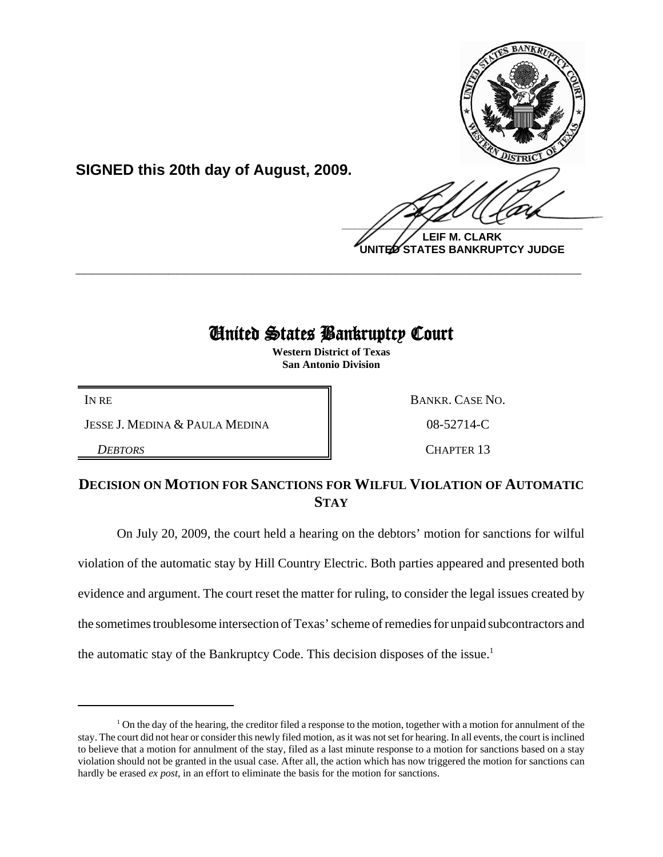

**LEIF M. CLARK UNITED STATES BANKRUPTCY JUDGE**

# United States Bankruptcy Court

**\_\_\_\_\_\_\_\_\_\_\_\_\_\_\_\_\_\_\_\_\_\_\_\_\_\_\_\_\_\_\_\_\_\_\_\_\_\_\_\_\_\_\_\_\_\_\_\_\_\_\_\_\_\_\_\_\_\_\_\_**

**Western District of Texas San Antonio Division**

JESSE J. MEDINA & PAULA MEDINA  $\parallel$  08-52714-C

**SIGNED this 20th day of August, 2009.**

IN RE BANKR. CASE NO.

**DEBTORS** CHAPTER 13

# **DECISION ON MOTION FOR SANCTIONS FOR WILFUL VIOLATION OF AUTOMATIC STAY**

On July 20, 2009, the court held a hearing on the debtors' motion for sanctions for wilful violation of the automatic stay by Hill Country Electric. Both parties appeared and presented both evidence and argument. The court reset the matter for ruling, to consider the legal issues created by the sometimes troublesome intersection of Texas' scheme of remedies for unpaid subcontractors and the automatic stay of the Bankruptcy Code. This decision disposes of the issue.<sup>1</sup>

<sup>&</sup>lt;sup>1</sup> On the day of the hearing, the creditor filed a response to the motion, together with a motion for annulment of the stay. The court did not hear or consider this newly filed motion, as it was not set for hearing. In all events, the court is inclined to believe that a motion for annulment of the stay, filed as a last minute response to a motion for sanctions based on a stay violation should not be granted in the usual case. After all, the action which has now triggered the motion for sanctions can hardly be erased *ex post*, in an effort to eliminate the basis for the motion for sanctions.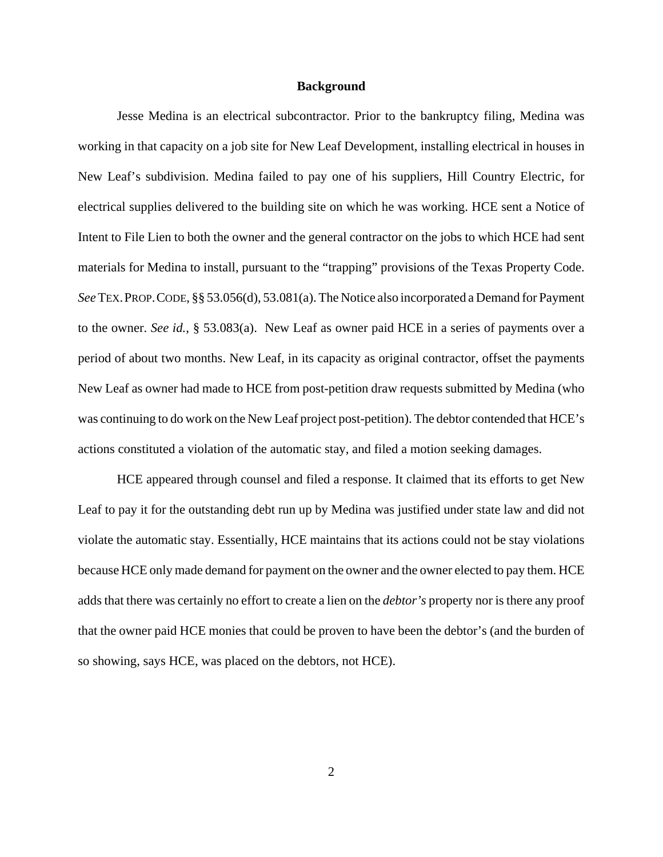#### **Background**

Jesse Medina is an electrical subcontractor. Prior to the bankruptcy filing, Medina was working in that capacity on a job site for New Leaf Development, installing electrical in houses in New Leaf's subdivision. Medina failed to pay one of his suppliers, Hill Country Electric, for electrical supplies delivered to the building site on which he was working. HCE sent a Notice of Intent to File Lien to both the owner and the general contractor on the jobs to which HCE had sent materials for Medina to install, pursuant to the "trapping" provisions of the Texas Property Code. *See* TEX.PROP.CODE, §§ 53.056(d), 53.081(a). The Notice also incorporated a Demand for Payment to the owner. *See id.*, § 53.083(a). New Leaf as owner paid HCE in a series of payments over a period of about two months. New Leaf, in its capacity as original contractor, offset the payments New Leaf as owner had made to HCE from post-petition draw requests submitted by Medina (who was continuing to do work on the New Leaf project post-petition). The debtor contended that HCE's actions constituted a violation of the automatic stay, and filed a motion seeking damages.

HCE appeared through counsel and filed a response. It claimed that its efforts to get New Leaf to pay it for the outstanding debt run up by Medina was justified under state law and did not violate the automatic stay. Essentially, HCE maintains that its actions could not be stay violations because HCE only made demand for payment on the owner and the owner elected to pay them. HCE adds that there was certainly no effort to create a lien on the *debtor's* property nor is there any proof that the owner paid HCE monies that could be proven to have been the debtor's (and the burden of so showing, says HCE, was placed on the debtors, not HCE).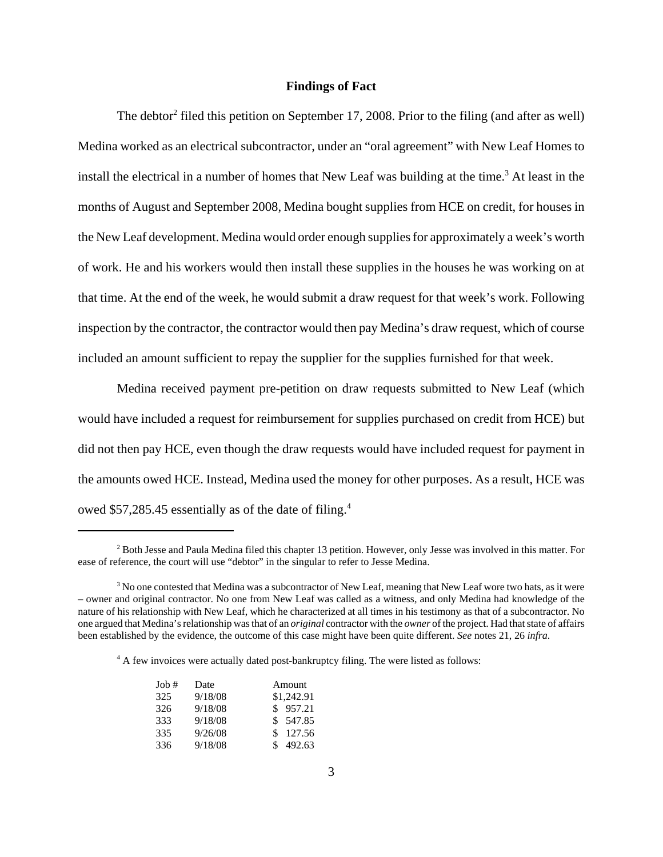## **Findings of Fact**

The debtor<sup>2</sup> filed this petition on September 17, 2008. Prior to the filing (and after as well) Medina worked as an electrical subcontractor, under an "oral agreement" with New Leaf Homes to install the electrical in a number of homes that New Leaf was building at the time.<sup>3</sup> At least in the months of August and September 2008, Medina bought supplies from HCE on credit, for houses in the New Leaf development. Medina would order enough supplies for approximately a week's worth of work. He and his workers would then install these supplies in the houses he was working on at that time. At the end of the week, he would submit a draw request for that week's work. Following inspection by the contractor, the contractor would then pay Medina's draw request, which of course included an amount sufficient to repay the supplier for the supplies furnished for that week.

Medina received payment pre-petition on draw requests submitted to New Leaf (which would have included a request for reimbursement for supplies purchased on credit from HCE) but did not then pay HCE, even though the draw requests would have included request for payment in the amounts owed HCE. Instead, Medina used the money for other purposes. As a result, HCE was owed \$57,285.45 essentially as of the date of filing.<sup>4</sup>

<sup>&</sup>lt;sup>4</sup> A few invoices were actually dated post-bankruptcy filing. The were listed as follows:

| $Job$ # | Date    | Amount     |
|---------|---------|------------|
| 325     | 9/18/08 | \$1,242.91 |
| 326     | 9/18/08 | \$957.21   |
| 333     | 9/18/08 | \$ 547.85  |
| 335     | 9/26/08 | \$127.56   |
| 336     | 9/18/08 | 492.63     |

<sup>&</sup>lt;sup>2</sup> Both Jesse and Paula Medina filed this chapter 13 petition. However, only Jesse was involved in this matter. For ease of reference, the court will use "debtor" in the singular to refer to Jesse Medina.

<sup>&</sup>lt;sup>3</sup> No one contested that Medina was a subcontractor of New Leaf, meaning that New Leaf wore two hats, as it were – owner and original contractor. No one from New Leaf was called as a witness, and only Medina had knowledge of the nature of his relationship with New Leaf, which he characterized at all times in his testimony as that of a subcontractor. No one argued that Medina's relationship was that of an *original* contractor with the *owner* of the project. Had that state of affairs been established by the evidence, the outcome of this case might have been quite different. *See* notes 21, 26 *infra*.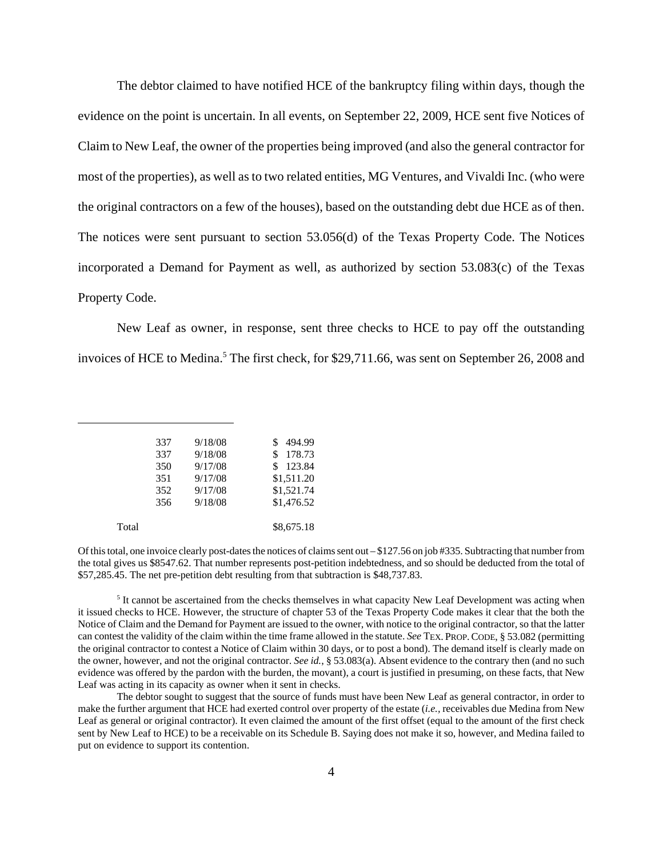The debtor claimed to have notified HCE of the bankruptcy filing within days, though the evidence on the point is uncertain. In all events, on September 22, 2009, HCE sent five Notices of Claim to New Leaf, the owner of the properties being improved (and also the general contractor for most of the properties), as well as to two related entities, MG Ventures, and Vivaldi Inc. (who were the original contractors on a few of the houses), based on the outstanding debt due HCE as of then. The notices were sent pursuant to section 53.056(d) of the Texas Property Code. The Notices incorporated a Demand for Payment as well, as authorized by section 53.083(c) of the Texas Property Code.

New Leaf as owner, in response, sent three checks to HCE to pay off the outstanding invoices of HCE to Medina.<sup>5</sup> The first check, for \$29,711.66, was sent on September 26, 2008 and

|       | 337 | 9/18/08 | 494.99     |
|-------|-----|---------|------------|
|       | 337 | 9/18/08 | 178.73     |
|       | 350 | 9/17/08 | 123.84     |
|       | 351 | 9/17/08 | \$1,511.20 |
|       | 352 | 9/17/08 | \$1,521.74 |
|       | 356 | 9/18/08 | \$1,476.52 |
|       |     |         |            |
| Total |     |         | \$8,675.18 |
|       |     |         |            |

Of this total, one invoice clearly post-dates the notices of claims sent out – \$127.56 on job #335. Subtracting that number from the total gives us \$8547.62. That number represents post-petition indebtedness, and so should be deducted from the total of \$57,285.45. The net pre-petition debt resulting from that subtraction is \$48,737.83.

 $<sup>5</sup>$  It cannot be ascertained from the checks themselves in what capacity New Leaf Development was acting when</sup> it issued checks to HCE. However, the structure of chapter 53 of the Texas Property Code makes it clear that the both the Notice of Claim and the Demand for Payment are issued to the owner, with notice to the original contractor, so that the latter can contest the validity of the claim within the time frame allowed in the statute. *See* TEX. PROP.CODE, § 53.082 (permitting the original contractor to contest a Notice of Claim within 30 days, or to post a bond). The demand itself is clearly made on the owner, however, and not the original contractor. *See id.*, § 53.083(a). Absent evidence to the contrary then (and no such evidence was offered by the pardon with the burden, the movant), a court is justified in presuming, on these facts, that New Leaf was acting in its capacity as owner when it sent in checks.

The debtor sought to suggest that the source of funds must have been New Leaf as general contractor, in order to make the further argument that HCE had exerted control over property of the estate (*i.e.,* receivables due Medina from New Leaf as general or original contractor). It even claimed the amount of the first offset (equal to the amount of the first check sent by New Leaf to HCE) to be a receivable on its Schedule B. Saying does not make it so, however, and Medina failed to put on evidence to support its contention.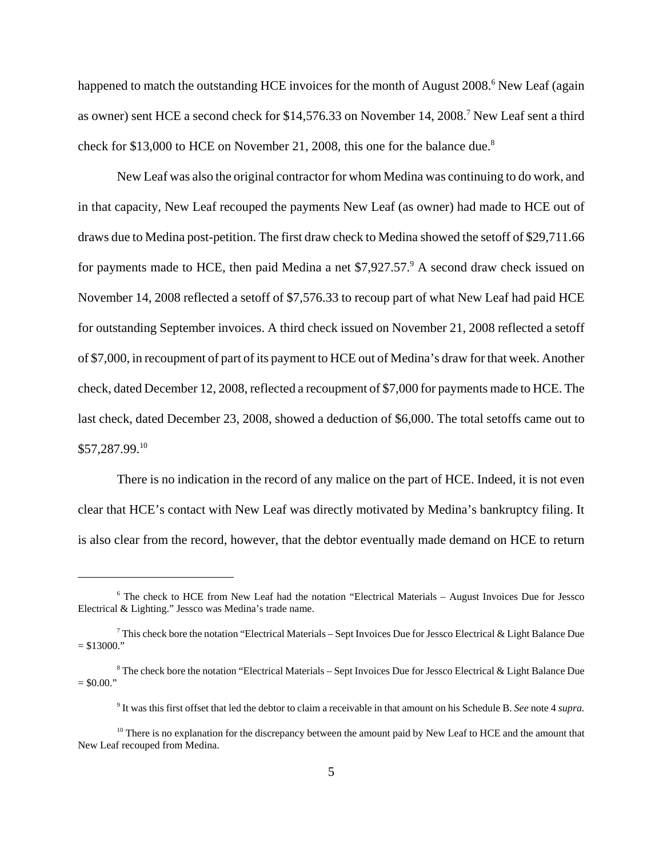happened to match the outstanding HCE invoices for the month of August 2008.<sup>6</sup> New Leaf (again as owner) sent HCE a second check for \$14,576.33 on November 14, 2008.<sup>7</sup> New Leaf sent a third check for \$13,000 to HCE on November 21, 2008, this one for the balance due.<sup>8</sup>

New Leaf was also the original contractor for whom Medina was continuing to do work, and in that capacity, New Leaf recouped the payments New Leaf (as owner) had made to HCE out of draws due to Medina post-petition. The first draw check to Medina showed the setoff of \$29,711.66 for payments made to HCE, then paid Medina a net \$7,927.57.<sup>9</sup> A second draw check issued on November 14, 2008 reflected a setoff of \$7,576.33 to recoup part of what New Leaf had paid HCE for outstanding September invoices. A third check issued on November 21, 2008 reflected a setoff of \$7,000, in recoupment of part of its payment to HCE out of Medina's draw for that week. Another check, dated December 12, 2008, reflected a recoupment of \$7,000 for payments made to HCE. The last check, dated December 23, 2008, showed a deduction of \$6,000. The total setoffs came out to \$57,287.99.10

There is no indication in the record of any malice on the part of HCE. Indeed, it is not even clear that HCE's contact with New Leaf was directly motivated by Medina's bankruptcy filing. It is also clear from the record, however, that the debtor eventually made demand on HCE to return

<sup>&</sup>lt;sup>6</sup> The check to HCE from New Leaf had the notation "Electrical Materials – August Invoices Due for Jessco Electrical & Lighting." Jessco was Medina's trade name.

 $^7$  This check bore the notation "Electrical Materials – Sept Invoices Due for Jessco Electrical & Light Balance Due  $= $13000."$ 

<sup>&</sup>lt;sup>8</sup> The check bore the notation "Electrical Materials – Sept Invoices Due for Jessco Electrical & Light Balance Due  $=$  \$0.00."

<sup>9</sup> It was this first offset that led the debtor to claim a receivable in that amount on his Schedule B. *See* note 4 *supra.*

<sup>&</sup>lt;sup>10</sup> There is no explanation for the discrepancy between the amount paid by New Leaf to HCE and the amount that New Leaf recouped from Medina.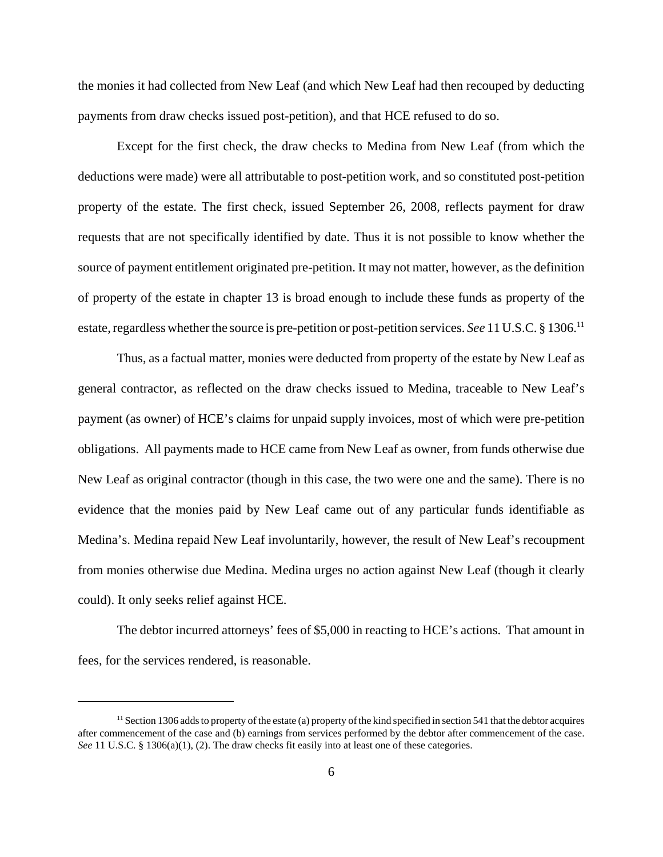the monies it had collected from New Leaf (and which New Leaf had then recouped by deducting payments from draw checks issued post-petition), and that HCE refused to do so.

Except for the first check, the draw checks to Medina from New Leaf (from which the deductions were made) were all attributable to post-petition work, and so constituted post-petition property of the estate. The first check, issued September 26, 2008, reflects payment for draw requests that are not specifically identified by date. Thus it is not possible to know whether the source of payment entitlement originated pre-petition. It may not matter, however, as the definition of property of the estate in chapter 13 is broad enough to include these funds as property of the estate, regardless whether the source is pre-petition or post-petition services. *See* 11 U.S.C. § 1306.11

Thus, as a factual matter, monies were deducted from property of the estate by New Leaf as general contractor, as reflected on the draw checks issued to Medina, traceable to New Leaf's payment (as owner) of HCE's claims for unpaid supply invoices, most of which were pre-petition obligations. All payments made to HCE came from New Leaf as owner, from funds otherwise due New Leaf as original contractor (though in this case, the two were one and the same). There is no evidence that the monies paid by New Leaf came out of any particular funds identifiable as Medina's. Medina repaid New Leaf involuntarily, however, the result of New Leaf's recoupment from monies otherwise due Medina. Medina urges no action against New Leaf (though it clearly could). It only seeks relief against HCE.

The debtor incurred attorneys' fees of \$5,000 in reacting to HCE's actions. That amount in fees, for the services rendered, is reasonable.

 $<sup>11</sup>$  Section 1306 adds to property of the estate (a) property of the kind specified in section 541 that the debtor acquires</sup> after commencement of the case and (b) earnings from services performed by the debtor after commencement of the case. *See* 11 U.S.C. § 1306(a)(1), (2). The draw checks fit easily into at least one of these categories.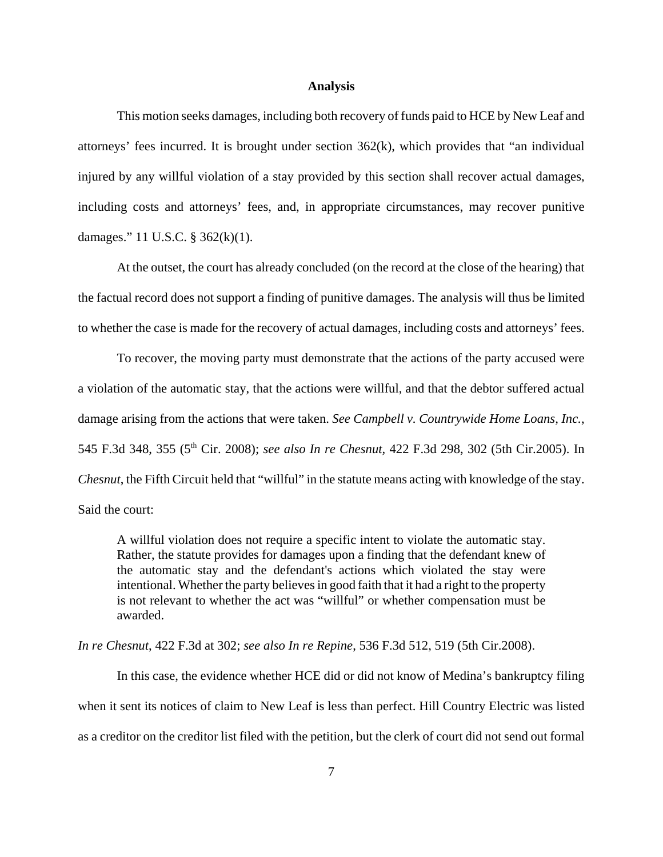#### **Analysis**

This motion seeks damages, including both recovery of funds paid to HCE by New Leaf and attorneys' fees incurred. It is brought under section 362(k), which provides that "an individual injured by any willful violation of a stay provided by this section shall recover actual damages, including costs and attorneys' fees, and, in appropriate circumstances, may recover punitive damages." 11 U.S.C. § 362(k)(1).

At the outset, the court has already concluded (on the record at the close of the hearing) that the factual record does not support a finding of punitive damages. The analysis will thus be limited to whether the case is made for the recovery of actual damages, including costs and attorneys' fees.

To recover, the moving party must demonstrate that the actions of the party accused were a violation of the automatic stay, that the actions were willful, and that the debtor suffered actual damage arising from the actions that were taken. *See Campbell v. Countrywide Home Loans, Inc.*, 545 F.3d 348, 355 (5th Cir. 2008); *see also In re Chesnut,* 422 F.3d 298, 302 (5th Cir.2005). In *Chesnut*, the Fifth Circuit held that "willful" in the statute means acting with knowledge of the stay. Said the court:

A willful violation does not require a specific intent to violate the automatic stay. Rather, the statute provides for damages upon a finding that the defendant knew of the automatic stay and the defendant's actions which violated the stay were intentional. Whether the party believes in good faith that it had a right to the property is not relevant to whether the act was "willful" or whether compensation must be awarded.

*In re Chesnut*, 422 F.3d at 302; *see also In re Repine*, 536 F.3d 512, 519 (5th Cir.2008).

In this case, the evidence whether HCE did or did not know of Medina's bankruptcy filing when it sent its notices of claim to New Leaf is less than perfect. Hill Country Electric was listed as a creditor on the creditor list filed with the petition, but the clerk of court did not send out formal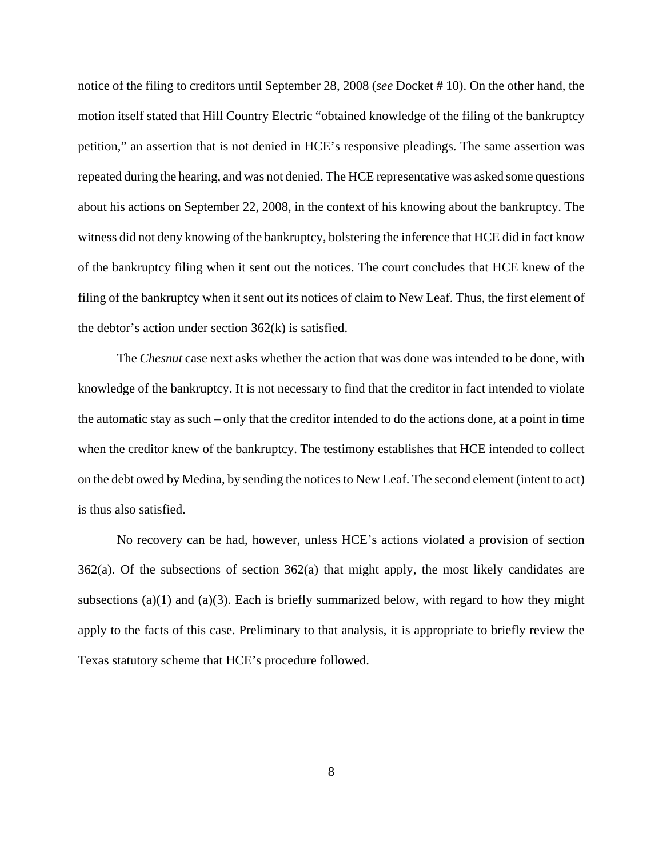notice of the filing to creditors until September 28, 2008 (*see* Docket # 10). On the other hand, the motion itself stated that Hill Country Electric "obtained knowledge of the filing of the bankruptcy petition," an assertion that is not denied in HCE's responsive pleadings. The same assertion was repeated during the hearing, and was not denied. The HCE representative was asked some questions about his actions on September 22, 2008, in the context of his knowing about the bankruptcy. The witness did not deny knowing of the bankruptcy, bolstering the inference that HCE did in fact know of the bankruptcy filing when it sent out the notices. The court concludes that HCE knew of the filing of the bankruptcy when it sent out its notices of claim to New Leaf. Thus, the first element of the debtor's action under section 362(k) is satisfied.

The *Chesnut* case next asks whether the action that was done was intended to be done, with knowledge of the bankruptcy. It is not necessary to find that the creditor in fact intended to violate the automatic stay as such – only that the creditor intended to do the actions done, at a point in time when the creditor knew of the bankruptcy. The testimony establishes that HCE intended to collect on the debt owed by Medina, by sending the notices to New Leaf. The second element (intent to act) is thus also satisfied.

No recovery can be had, however, unless HCE's actions violated a provision of section 362(a). Of the subsections of section 362(a) that might apply, the most likely candidates are subsections (a)(1) and (a)(3). Each is briefly summarized below, with regard to how they might apply to the facts of this case. Preliminary to that analysis, it is appropriate to briefly review the Texas statutory scheme that HCE's procedure followed.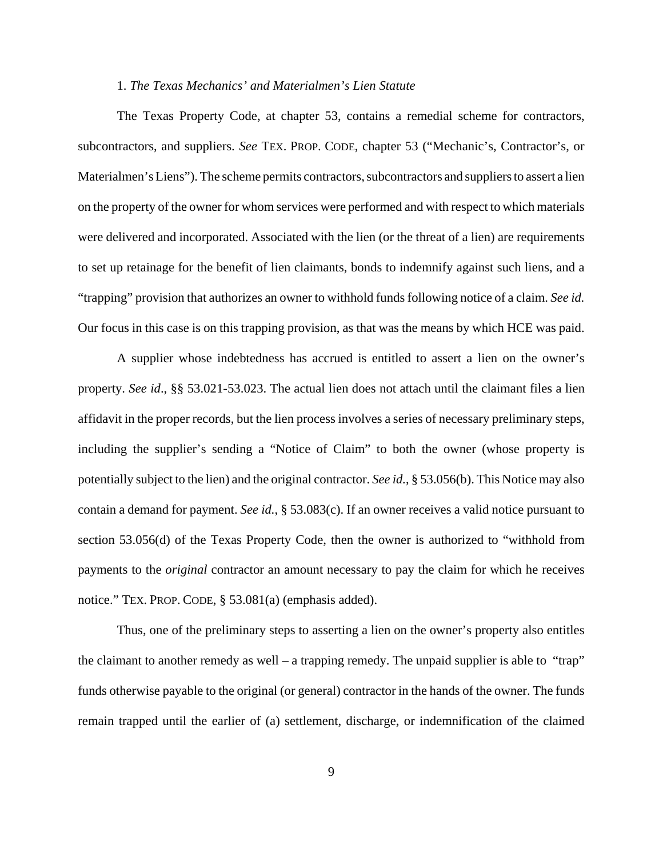## 1. *The Texas Mechanics' and Materialmen's Lien Statute*

The Texas Property Code, at chapter 53, contains a remedial scheme for contractors, subcontractors, and suppliers. *See* TEX. PROP. CODE, chapter 53 ("Mechanic's, Contractor's, or Materialmen's Liens"). The scheme permits contractors, subcontractors and suppliers to assert a lien on the property of the owner for whom services were performed and with respect to which materials were delivered and incorporated. Associated with the lien (or the threat of a lien) are requirements to set up retainage for the benefit of lien claimants, bonds to indemnify against such liens, and a "trapping" provision that authorizes an owner to withhold funds following notice of a claim. *See id.* Our focus in this case is on this trapping provision, as that was the means by which HCE was paid.

A supplier whose indebtedness has accrued is entitled to assert a lien on the owner's property. *See id*., §§ 53.021-53.023. The actual lien does not attach until the claimant files a lien affidavit in the proper records, but the lien process involves a series of necessary preliminary steps, including the supplier's sending a "Notice of Claim" to both the owner (whose property is potentially subject to the lien) and the original contractor. *See id.*, § 53.056(b). This Notice may also contain a demand for payment. *See id.*, § 53.083(c). If an owner receives a valid notice pursuant to section 53.056(d) of the Texas Property Code, then the owner is authorized to "withhold from payments to the *original* contractor an amount necessary to pay the claim for which he receives notice." TEX. PROP. CODE, § 53.081(a) (emphasis added).

Thus, one of the preliminary steps to asserting a lien on the owner's property also entitles the claimant to another remedy as well – a trapping remedy. The unpaid supplier is able to "trap" funds otherwise payable to the original (or general) contractor in the hands of the owner. The funds remain trapped until the earlier of (a) settlement, discharge, or indemnification of the claimed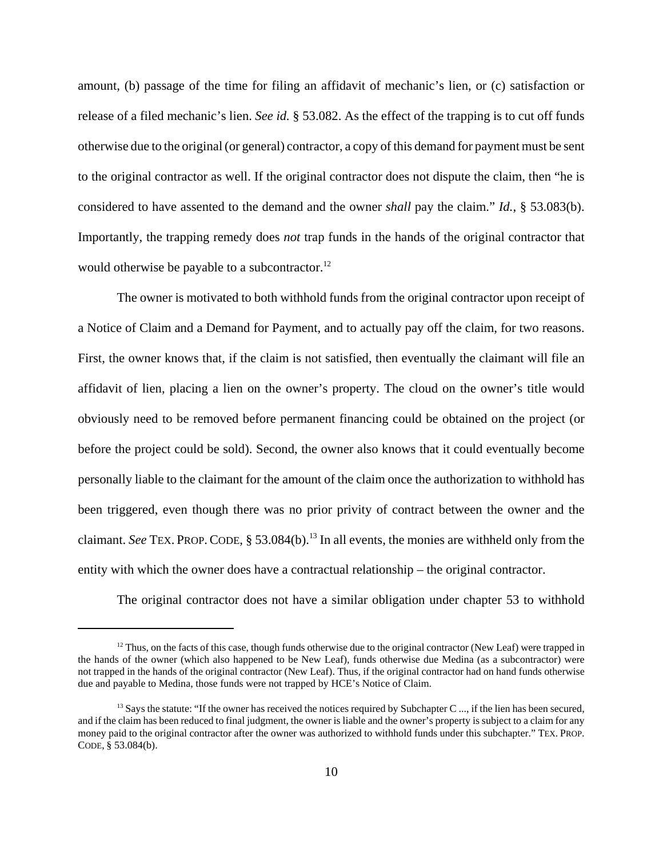amount, (b) passage of the time for filing an affidavit of mechanic's lien, or (c) satisfaction or release of a filed mechanic's lien. *See id.* § 53.082. As the effect of the trapping is to cut off funds otherwise due to the original (or general) contractor, a copy of this demand for payment must be sent to the original contractor as well. If the original contractor does not dispute the claim, then "he is considered to have assented to the demand and the owner *shall* pay the claim." *Id.*, § 53.083(b). Importantly, the trapping remedy does *not* trap funds in the hands of the original contractor that would otherwise be payable to a subcontractor.<sup>12</sup>

The owner is motivated to both withhold funds from the original contractor upon receipt of a Notice of Claim and a Demand for Payment, and to actually pay off the claim, for two reasons. First, the owner knows that, if the claim is not satisfied, then eventually the claimant will file an affidavit of lien, placing a lien on the owner's property. The cloud on the owner's title would obviously need to be removed before permanent financing could be obtained on the project (or before the project could be sold). Second, the owner also knows that it could eventually become personally liable to the claimant for the amount of the claim once the authorization to withhold has been triggered, even though there was no prior privity of contract between the owner and the claimant. *See* TEX. PROP. CODE, § 53.084(b).<sup>13</sup> In all events, the monies are withheld only from the entity with which the owner does have a contractual relationship – the original contractor.

The original contractor does not have a similar obligation under chapter 53 to withhold

 $12$  Thus, on the facts of this case, though funds otherwise due to the original contractor (New Leaf) were trapped in the hands of the owner (which also happened to be New Leaf), funds otherwise due Medina (as a subcontractor) were not trapped in the hands of the original contractor (New Leaf). Thus, if the original contractor had on hand funds otherwise due and payable to Medina, those funds were not trapped by HCE's Notice of Claim.

<sup>&</sup>lt;sup>13</sup> Says the statute: "If the owner has received the notices required by Subchapter C ..., if the lien has been secured, and if the claim has been reduced to final judgment, the owner is liable and the owner's property is subject to a claim for any money paid to the original contractor after the owner was authorized to withhold funds under this subchapter." TEX. PROP. CODE, § 53.084(b).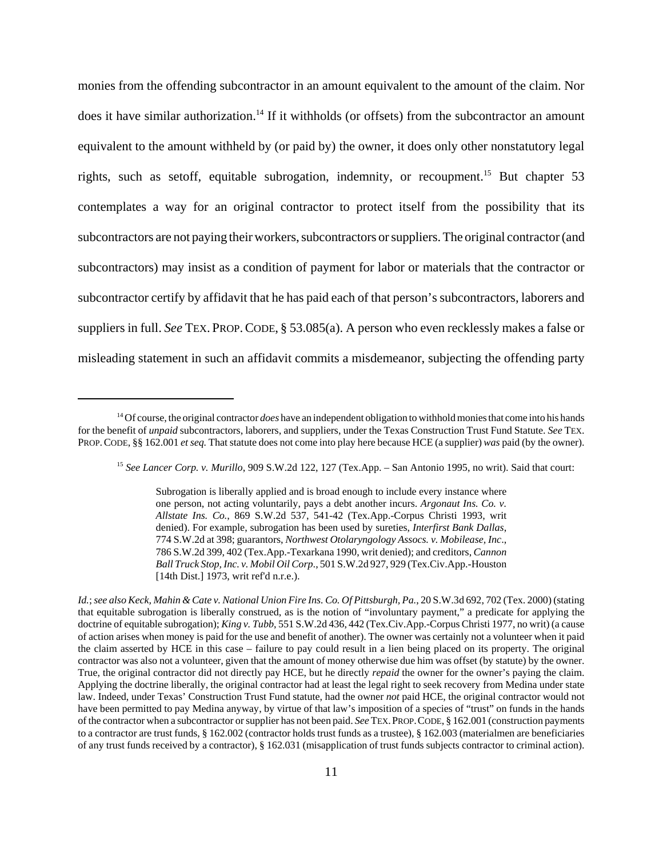monies from the offending subcontractor in an amount equivalent to the amount of the claim. Nor does it have similar authorization.<sup>14</sup> If it withholds (or offsets) from the subcontractor an amount equivalent to the amount withheld by (or paid by) the owner, it does only other nonstatutory legal rights, such as setoff, equitable subrogation, indemnity, or recoupment.<sup>15</sup> But chapter 53 contemplates a way for an original contractor to protect itself from the possibility that its subcontractors are not paying their workers, subcontractors or suppliers. The original contractor (and subcontractors) may insist as a condition of payment for labor or materials that the contractor or subcontractor certify by affidavit that he has paid each of that person's subcontractors, laborers and suppliers in full. *See* TEX. PROP.CODE, § 53.085(a). A person who even recklessly makes a false or misleading statement in such an affidavit commits a misdemeanor, subjecting the offending party

<sup>14</sup> Of course, the original contractor *does* have an independent obligation to withhold monies that come into his hands for the benefit of *unpaid* subcontractors, laborers, and suppliers, under the Texas Construction Trust Fund Statute. *See* TEX. PROP.CODE, §§ 162.001 *et seq.* That statute does not come into play here because HCE (a supplier) *was* paid (by the owner).

<sup>15</sup> *See Lancer Corp. v. Murillo*, 909 S.W.2d 122, 127 (Tex.App. – San Antonio 1995, no writ). Said that court:

Subrogation is liberally applied and is broad enough to include every instance where one person, not acting voluntarily, pays a debt another incurs. *Argonaut Ins. Co. v. Allstate Ins. Co.*, 869 S.W.2d 537, 541-42 (Tex.App.-Corpus Christi 1993, writ denied). For example, subrogation has been used by sureties, *Interfirst Bank Dallas*, 774 S.W.2d at 398; guarantors, *Northwest Otolaryngology Assocs. v. Mobilease, Inc*., 786 S.W.2d 399, 402 (Tex.App.-Texarkana 1990, writ denied); and creditors, *Cannon Ball Truck Stop, Inc. v. Mobil Oil Corp*., 501 S.W.2d 927, 929 (Tex.Civ.App.-Houston [14th Dist.] 1973, writ ref'd n.r.e.).

*Id.*; *see also Keck, Mahin & Cate v. National Union Fire Ins. Co. Of Pittsburgh, Pa.*, 20 S.W.3d 692, 702 (Tex. 2000) (stating that equitable subrogation is liberally construed, as is the notion of "involuntary payment," a predicate for applying the doctrine of equitable subrogation); *King v. Tubb*, 551 S.W.2d 436, 442 (Tex.Civ.App.-Corpus Christi 1977, no writ) (a cause of action arises when money is paid for the use and benefit of another). The owner was certainly not a volunteer when it paid the claim asserted by HCE in this case – failure to pay could result in a lien being placed on its property. The original contractor was also not a volunteer, given that the amount of money otherwise due him was offset (by statute) by the owner. True, the original contractor did not directly pay HCE, but he directly *repaid* the owner for the owner's paying the claim. Applying the doctrine liberally, the original contractor had at least the legal right to seek recovery from Medina under state law. Indeed, under Texas' Construction Trust Fund statute, had the owner *not* paid HCE, the original contractor would not have been permitted to pay Medina anyway, by virtue of that law's imposition of a species of "trust" on funds in the hands of the contractor when a subcontractor or supplier has not been paid. *See* TEX.PROP.CODE, § 162.001 (construction payments to a contractor are trust funds, § 162.002 (contractor holds trust funds as a trustee), § 162.003 (materialmen are beneficiaries of any trust funds received by a contractor), § 162.031 (misapplication of trust funds subjects contractor to criminal action).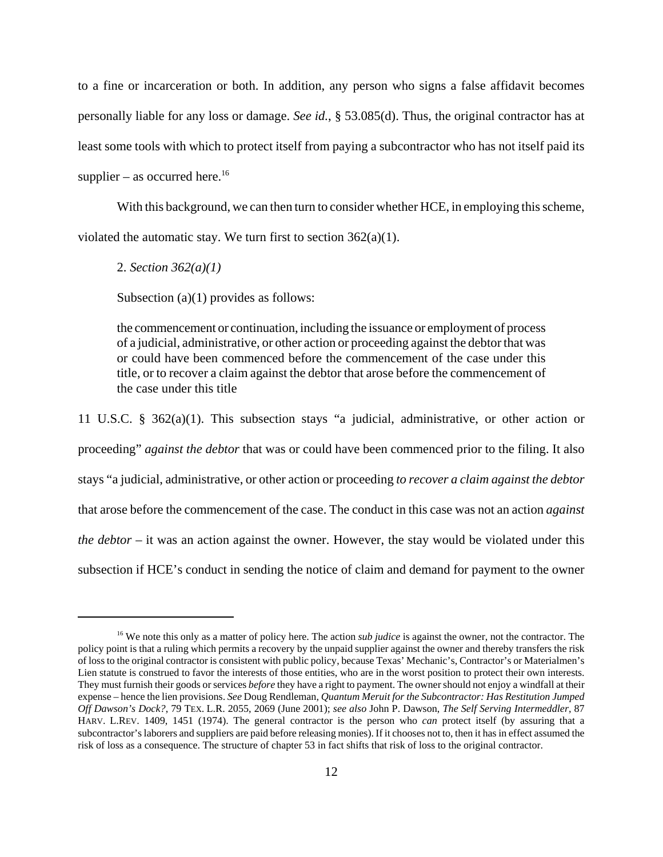to a fine or incarceration or both. In addition, any person who signs a false affidavit becomes personally liable for any loss or damage. *See id.*, § 53.085(d). Thus, the original contractor has at least some tools with which to protect itself from paying a subcontractor who has not itself paid its supplier – as occurred here.<sup>16</sup>

With this background, we can then turn to consider whether HCE, in employing this scheme, violated the automatic stay. We turn first to section  $362(a)(1)$ .

2. *Section 362(a)(1)*

Subsection (a)(1) provides as follows:

the commencement or continuation, including the issuance or employment of process of a judicial, administrative, or other action or proceeding against the debtor that was or could have been commenced before the commencement of the case under this title, or to recover a claim against the debtor that arose before the commencement of the case under this title

11 U.S.C. § 362(a)(1). This subsection stays "a judicial, administrative, or other action or proceeding" *against the debtor* that was or could have been commenced prior to the filing. It also stays "a judicial, administrative, or other action or proceeding *to recover a claim against the debtor* that arose before the commencement of the case. The conduct in this case was not an action *against the debtor* – it was an action against the owner. However, the stay would be violated under this subsection if HCE's conduct in sending the notice of claim and demand for payment to the owner

<sup>&</sup>lt;sup>16</sup> We note this only as a matter of policy here. The action *sub judice* is against the owner, not the contractor. The policy point is that a ruling which permits a recovery by the unpaid supplier against the owner and thereby transfers the risk of loss to the original contractor is consistent with public policy, because Texas' Mechanic's, Contractor's or Materialmen's Lien statute is construed to favor the interests of those entities, who are in the worst position to protect their own interests. They must furnish their goods or services *before* they have a right to payment. The owner should not enjoy a windfall at their expense – hence the lien provisions. *See* Doug Rendleman, *Quantum Meruit for the Subcontractor: Has Restitution Jumped Off Dawson's Dock?*, 79 TEX. L.R. 2055, 2069 (June 2001); *see also* John P. Dawson, *The Self Serving Intermeddler*, 87 HARV. L.REV. 1409, 1451 (1974). The general contractor is the person who *can* protect itself (by assuring that a subcontractor's laborers and suppliers are paid before releasing monies). If it chooses not to, then it has in effect assumed the risk of loss as a consequence. The structure of chapter 53 in fact shifts that risk of loss to the original contractor.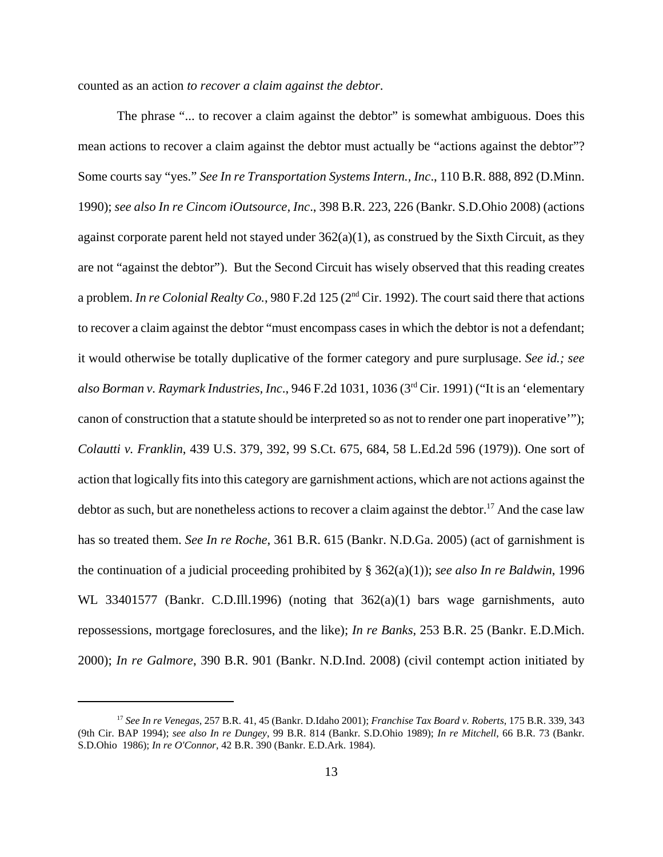counted as an action *to recover a claim against the debtor*.

The phrase "... to recover a claim against the debtor" is somewhat ambiguous. Does this mean actions to recover a claim against the debtor must actually be "actions against the debtor"? Some courts say "yes." *See In re Transportation Systems Intern., Inc*., 110 B.R. 888, 892 (D.Minn. 1990); *see also In re Cincom iOutsource, Inc*., 398 B.R. 223, 226 (Bankr. S.D.Ohio 2008) (actions against corporate parent held not stayed under  $362(a)(1)$ , as construed by the Sixth Circuit, as they are not "against the debtor"). But the Second Circuit has wisely observed that this reading creates a problem. *In re Colonial Realty Co.*, 980 F.2d 125 (2<sup>nd</sup> Cir. 1992). The court said there that actions to recover a claim against the debtor "must encompass cases in which the debtor is not a defendant; it would otherwise be totally duplicative of the former category and pure surplusage. *See id.; see also Borman v. Raymark Industries, Inc*., 946 F.2d 1031, 1036 (3rd Cir. 1991) ("It is an 'elementary canon of construction that a statute should be interpreted so as not to render one part inoperative'"); *Colautti v. Franklin*, 439 U.S. 379, 392, 99 S.Ct. 675, 684, 58 L.Ed.2d 596 (1979)). One sort of action that logically fits into this category are garnishment actions, which are not actions against the debtor as such, but are nonetheless actions to recover a claim against the debtor.<sup>17</sup> And the case law has so treated them. *See In re Roche*, 361 B.R. 615 (Bankr. N.D.Ga. 2005) (act of garnishment is the continuation of a judicial proceeding prohibited by § 362(a)(1)); *see also In re Baldwin*, 1996 WL 33401577 (Bankr. C.D.Ill.1996) (noting that 362(a)(1) bars wage garnishments, auto repossessions, mortgage foreclosures, and the like); *In re Banks*, 253 B.R. 25 (Bankr. E.D.Mich. 2000); *In re Galmore*, 390 B.R. 901 (Bankr. N.D.Ind. 2008) (civil contempt action initiated by

<sup>17</sup> *See In re Venegas*, 257 B.R. 41, 45 (Bankr. D.Idaho 2001); *Franchise Tax Board v. Roberts*, 175 B.R. 339, 343 (9th Cir. BAP 1994); *see also In re Dungey*, 99 B.R. 814 (Bankr. S.D.Ohio 1989); *In re Mitchell*, 66 B.R. 73 (Bankr. S.D.Ohio 1986); *In re O'Connor*, 42 B.R. 390 (Bankr. E.D.Ark. 1984).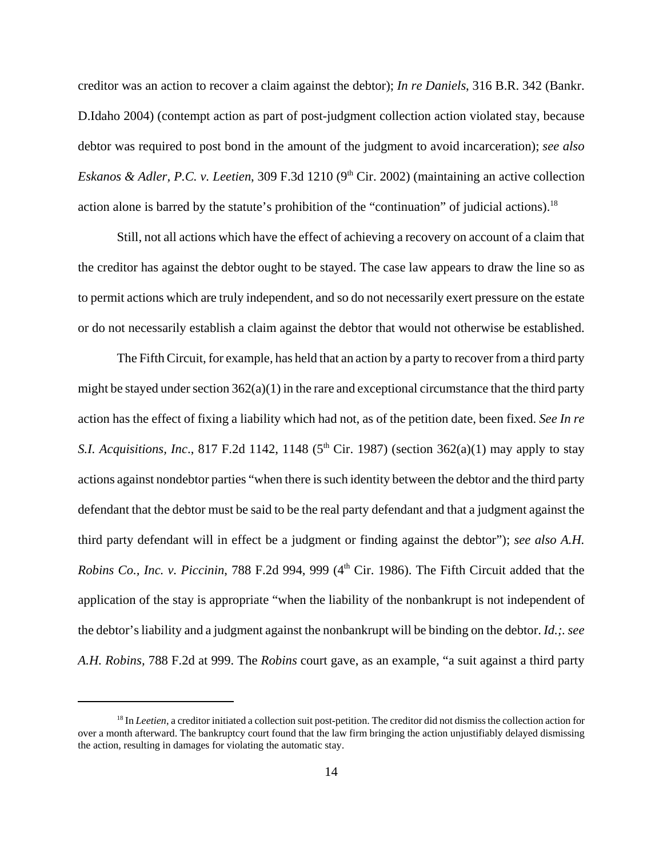creditor was an action to recover a claim against the debtor); *In re Daniels*, 316 B.R. 342 (Bankr. D.Idaho 2004) (contempt action as part of post-judgment collection action violated stay, because debtor was required to post bond in the amount of the judgment to avoid incarceration); *see also Eskanos & Adler, P.C. v. Leetien, 309 F.3d 1210 (9<sup>th</sup> Cir. 2002) (maintaining an active collection* action alone is barred by the statute's prohibition of the "continuation" of judicial actions).<sup>18</sup>

Still, not all actions which have the effect of achieving a recovery on account of a claim that the creditor has against the debtor ought to be stayed. The case law appears to draw the line so as to permit actions which are truly independent, and so do not necessarily exert pressure on the estate or do not necessarily establish a claim against the debtor that would not otherwise be established.

The Fifth Circuit, for example, has held that an action by a party to recover from a third party might be stayed under section  $362(a)(1)$  in the rare and exceptional circumstance that the third party action has the effect of fixing a liability which had not, as of the petition date, been fixed. *See In re S.I. Acquisitions, Inc.*, 817 F.2d 1142, 1148 ( $5<sup>th</sup>$  Cir. 1987) (section 362(a)(1) may apply to stay actions against nondebtor parties "when there is such identity between the debtor and the third party defendant that the debtor must be said to be the real party defendant and that a judgment against the third party defendant will in effect be a judgment or finding against the debtor"); *see also A.H. Robins Co., Inc. v. Piccinin, 788 F.2d 994, 999 (4<sup>th</sup> Cir. 1986). The Fifth Circuit added that the* application of the stay is appropriate "when the liability of the nonbankrupt is not independent of the debtor's liability and a judgment against the nonbankrupt will be binding on the debtor. *Id.;. see A.H. Robins,* 788 F.2d at 999. The *Robins* court gave, as an example, "a suit against a third party

<sup>&</sup>lt;sup>18</sup> In *Leetien*, a creditor initiated a collection suit post-petition. The creditor did not dismiss the collection action for over a month afterward. The bankruptcy court found that the law firm bringing the action unjustifiably delayed dismissing the action, resulting in damages for violating the automatic stay.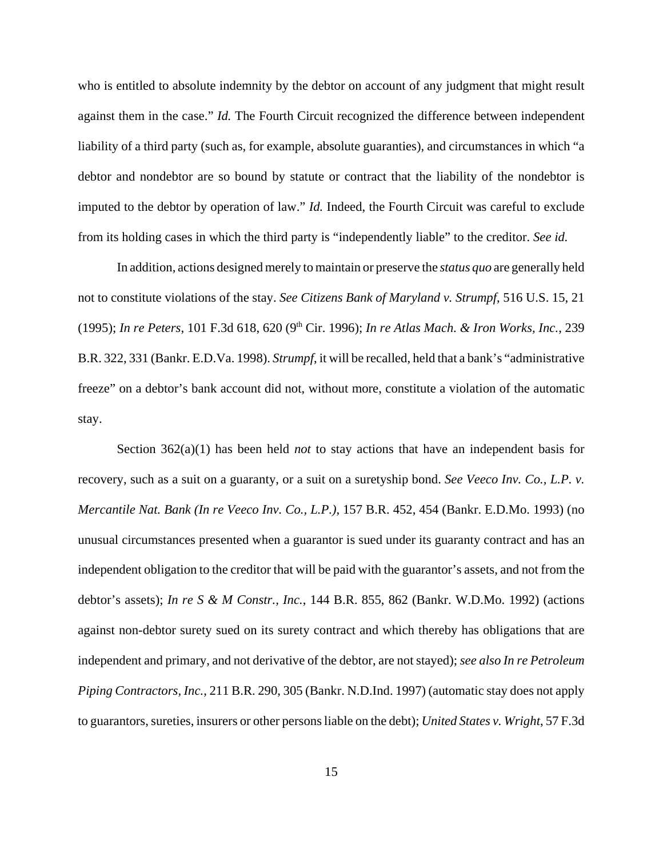who is entitled to absolute indemnity by the debtor on account of any judgment that might result against them in the case." *Id.* The Fourth Circuit recognized the difference between independent liability of a third party (such as, for example, absolute guaranties), and circumstances in which "a debtor and nondebtor are so bound by statute or contract that the liability of the nondebtor is imputed to the debtor by operation of law." *Id.* Indeed, the Fourth Circuit was careful to exclude from its holding cases in which the third party is "independently liable" to the creditor. *See id.*

In addition, actions designed merely to maintain or preserve the *status quo* are generally held not to constitute violations of the stay. *See Citizens Bank of Maryland v. Strumpf*, 516 U.S. 15, 21 (1995); *In re Peters*, 101 F.3d 618, 620 (9th Cir. 1996); *In re Atlas Mach. & Iron Works, Inc.*, 239 B.R. 322, 331 (Bankr. E.D.Va. 1998). *Strumpf*, it will be recalled, held that a bank's "administrative freeze" on a debtor's bank account did not, without more, constitute a violation of the automatic stay.

Section 362(a)(1) has been held *not* to stay actions that have an independent basis for recovery, such as a suit on a guaranty, or a suit on a suretyship bond. *See Veeco Inv. Co., L.P. v. Mercantile Nat. Bank (In re Veeco Inv. Co., L.P.)*, 157 B.R. 452, 454 (Bankr. E.D.Mo. 1993) (no unusual circumstances presented when a guarantor is sued under its guaranty contract and has an independent obligation to the creditor that will be paid with the guarantor's assets, and not from the debtor's assets); *In re S & M Constr., Inc.*, 144 B.R. 855, 862 (Bankr. W.D.Mo. 1992) (actions against non-debtor surety sued on its surety contract and which thereby has obligations that are independent and primary, and not derivative of the debtor, are not stayed); *see also In re Petroleum Piping Contractors, Inc.*, 211 B.R. 290, 305 (Bankr. N.D.Ind. 1997) (automatic stay does not apply to guarantors, sureties, insurers or other persons liable on the debt); *United States v. Wright*, 57 F.3d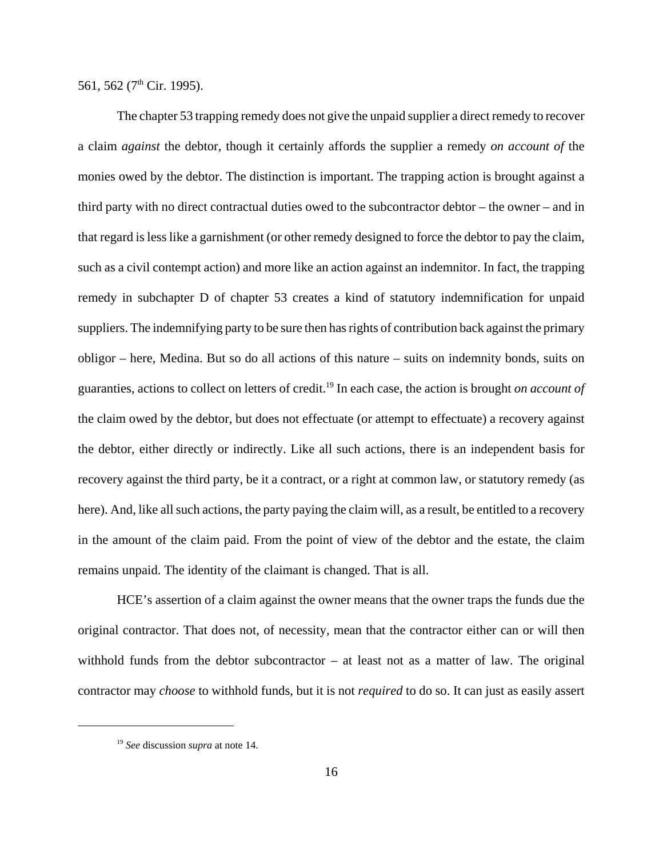561, 562 ( $7<sup>th</sup>$  Cir. 1995).

The chapter 53 trapping remedy does not give the unpaid supplier a direct remedy to recover a claim *against* the debtor, though it certainly affords the supplier a remedy *on account of* the monies owed by the debtor. The distinction is important. The trapping action is brought against a third party with no direct contractual duties owed to the subcontractor debtor – the owner – and in that regard is less like a garnishment (or other remedy designed to force the debtor to pay the claim, such as a civil contempt action) and more like an action against an indemnitor. In fact, the trapping remedy in subchapter D of chapter 53 creates a kind of statutory indemnification for unpaid suppliers. The indemnifying party to be sure then has rights of contribution back against the primary obligor – here, Medina. But so do all actions of this nature – suits on indemnity bonds, suits on guaranties, actions to collect on letters of credit.19 In each case, the action is brought *on account of* the claim owed by the debtor, but does not effectuate (or attempt to effectuate) a recovery against the debtor, either directly or indirectly. Like all such actions, there is an independent basis for recovery against the third party, be it a contract, or a right at common law, or statutory remedy (as here). And, like all such actions, the party paying the claim will, as a result, be entitled to a recovery in the amount of the claim paid. From the point of view of the debtor and the estate, the claim remains unpaid. The identity of the claimant is changed. That is all.

HCE's assertion of a claim against the owner means that the owner traps the funds due the original contractor. That does not, of necessity, mean that the contractor either can or will then withhold funds from the debtor subcontractor – at least not as a matter of law. The original contractor may *choose* to withhold funds, but it is not *required* to do so. It can just as easily assert

<sup>19</sup> *See* discussion *supra* at note 14.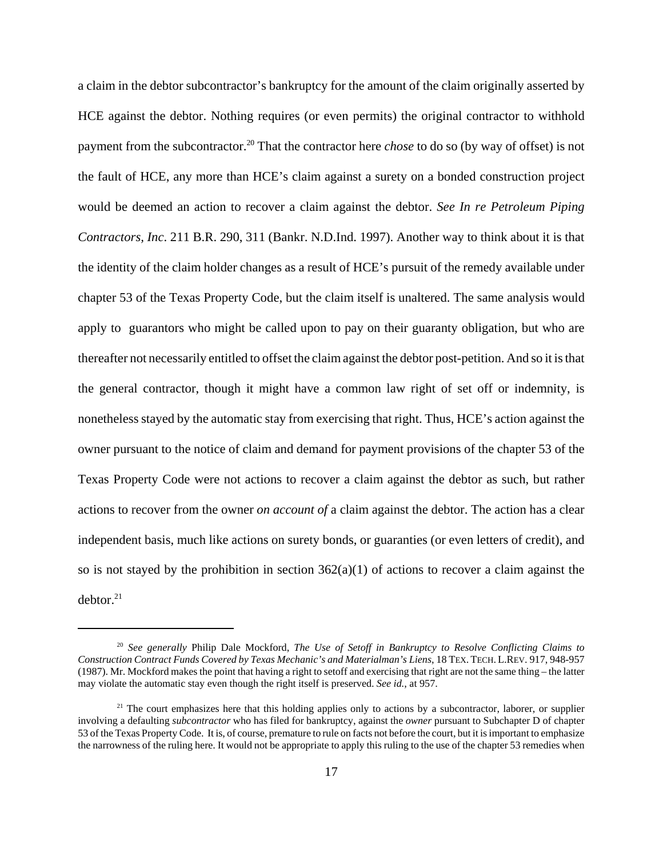a claim in the debtor subcontractor's bankruptcy for the amount of the claim originally asserted by HCE against the debtor. Nothing requires (or even permits) the original contractor to withhold payment from the subcontractor.20 That the contractor here *chose* to do so (by way of offset) is not the fault of HCE, any more than HCE's claim against a surety on a bonded construction project would be deemed an action to recover a claim against the debtor. *See In re Petroleum Piping Contractors, Inc*. 211 B.R. 290, 311 (Bankr. N.D.Ind. 1997). Another way to think about it is that the identity of the claim holder changes as a result of HCE's pursuit of the remedy available under chapter 53 of the Texas Property Code, but the claim itself is unaltered. The same analysis would apply to guarantors who might be called upon to pay on their guaranty obligation, but who are thereafter not necessarily entitled to offset the claim against the debtor post-petition. And so it is that the general contractor, though it might have a common law right of set off or indemnity, is nonetheless stayed by the automatic stay from exercising that right. Thus, HCE's action against the owner pursuant to the notice of claim and demand for payment provisions of the chapter 53 of the Texas Property Code were not actions to recover a claim against the debtor as such, but rather actions to recover from the owner *on account of* a claim against the debtor. The action has a clear independent basis, much like actions on surety bonds, or guaranties (or even letters of credit), and so is not stayed by the prohibition in section  $362(a)(1)$  of actions to recover a claim against the  $debtor.<sup>21</sup>$ 

<sup>20</sup> *See generally* Philip Dale Mockford, *The Use of Setoff in Bankruptcy to Resolve Conflicting Claims to Construction Contract Funds Covered by Texas Mechanic's and Materialman's Liens*, 18 TEX. TECH. L.REV. 917, 948-957 (1987). Mr. Mockford makes the point that having a right to setoff and exercising that right are not the same thing – the latter may violate the automatic stay even though the right itself is preserved. *See id.*, at 957.

 $21$  The court emphasizes here that this holding applies only to actions by a subcontractor, laborer, or supplier involving a defaulting *subcontractor* who has filed for bankruptcy, against the *owner* pursuant to Subchapter D of chapter 53 of the Texas Property Code. It is, of course, premature to rule on facts not before the court, but it is important to emphasize the narrowness of the ruling here. It would not be appropriate to apply this ruling to the use of the chapter 53 remedies when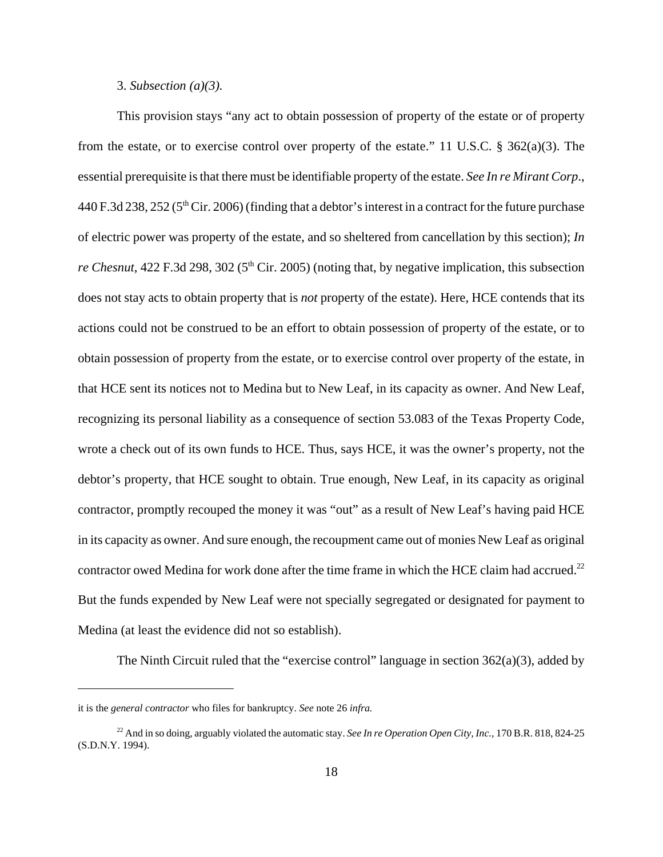#### 3. *Subsection (a)(3).*

This provision stays "any act to obtain possession of property of the estate or of property from the estate, or to exercise control over property of the estate." 11 U.S.C.  $\S$  362(a)(3). The essential prerequisite is that there must be identifiable property of the estate. *See In re Mirant Corp*., 440 F.3d 238, 252 ( $5<sup>th</sup>$  Cir. 2006) (finding that a debtor's interest in a contract for the future purchase of electric power was property of the estate, and so sheltered from cancellation by this section); *In re Chesnut*, 422 F.3d 298, 302 (5<sup>th</sup> Cir. 2005) (noting that, by negative implication, this subsection does not stay acts to obtain property that is *not* property of the estate). Here, HCE contends that its actions could not be construed to be an effort to obtain possession of property of the estate, or to obtain possession of property from the estate, or to exercise control over property of the estate, in that HCE sent its notices not to Medina but to New Leaf, in its capacity as owner. And New Leaf, recognizing its personal liability as a consequence of section 53.083 of the Texas Property Code, wrote a check out of its own funds to HCE. Thus, says HCE, it was the owner's property, not the debtor's property, that HCE sought to obtain. True enough, New Leaf, in its capacity as original contractor, promptly recouped the money it was "out" as a result of New Leaf's having paid HCE in its capacity as owner. And sure enough, the recoupment came out of monies New Leaf as original contractor owed Medina for work done after the time frame in which the HCE claim had accrued.<sup>22</sup> But the funds expended by New Leaf were not specially segregated or designated for payment to Medina (at least the evidence did not so establish).

The Ninth Circuit ruled that the "exercise control" language in section  $362(a)(3)$ , added by

it is the *general contractor* who files for bankruptcy. *See* note 26 *infra.* 

<sup>&</sup>lt;sup>22</sup> And in so doing, arguably violated the automatic stay. *See In re Operation Open City, Inc.*, 170 B.R. 818, 824-25 (S.D.N.Y. 1994).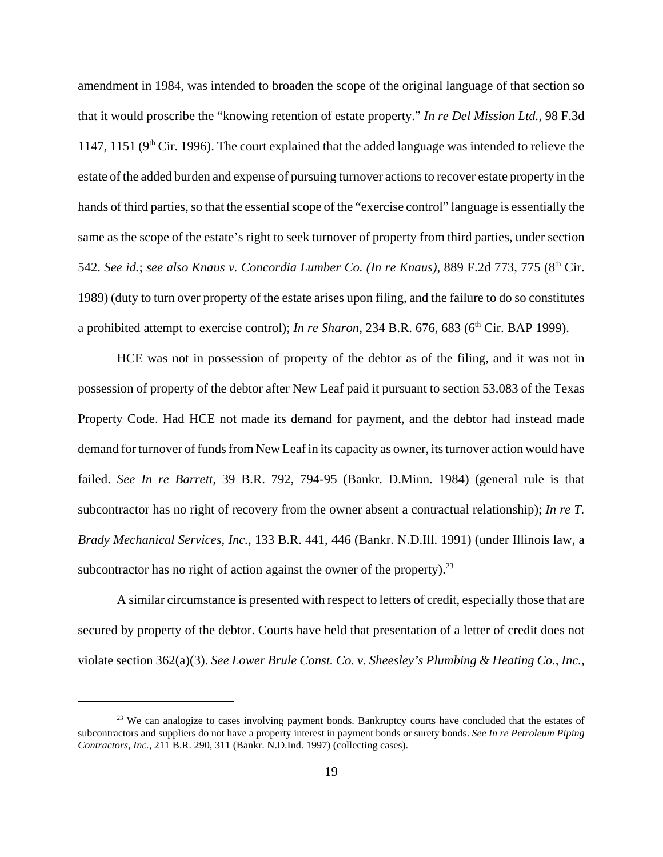amendment in 1984, was intended to broaden the scope of the original language of that section so that it would proscribe the "knowing retention of estate property." *In re Del Mission Ltd.*, 98 F.3d 1147, 1151 ( $9<sup>th</sup>$  Cir. 1996). The court explained that the added language was intended to relieve the estate of the added burden and expense of pursuing turnover actions to recover estate property in the hands of third parties, so that the essential scope of the "exercise control" language is essentially the same as the scope of the estate's right to seek turnover of property from third parties, under section 542. *See id.*; *see also Knaus v. Concordia Lumber Co. (In re Knaus)*, 889 F.2d 773, 775 (8<sup>th</sup> Cir. 1989) (duty to turn over property of the estate arises upon filing, and the failure to do so constitutes a prohibited attempt to exercise control); *In re Sharon*, 234 B.R. 676, 683 (6<sup>th</sup> Cir. BAP 1999).

HCE was not in possession of property of the debtor as of the filing, and it was not in possession of property of the debtor after New Leaf paid it pursuant to section 53.083 of the Texas Property Code. Had HCE not made its demand for payment, and the debtor had instead made demand for turnover of funds from New Leaf in its capacity as owner, its turnover action would have failed. *See In re Barrett*, 39 B.R. 792, 794-95 (Bankr. D.Minn. 1984) (general rule is that subcontractor has no right of recovery from the owner absent a contractual relationship); *In re T. Brady Mechanical Services, Inc.*, 133 B.R. 441, 446 (Bankr. N.D.Ill. 1991) (under Illinois law, a subcontractor has no right of action against the owner of the property).<sup>23</sup>

A similar circumstance is presented with respect to letters of credit, especially those that are secured by property of the debtor. Courts have held that presentation of a letter of credit does not violate section 362(a)(3). *See Lower Brule Const. Co. v. Sheesley's Plumbing & Heating Co., Inc.*,

<sup>&</sup>lt;sup>23</sup> We can analogize to cases involving payment bonds. Bankruptcy courts have concluded that the estates of subcontractors and suppliers do not have a property interest in payment bonds or surety bonds. *See In re Petroleum Piping Contractors, Inc.*, 211 B.R. 290, 311 (Bankr. N.D.Ind. 1997) (collecting cases).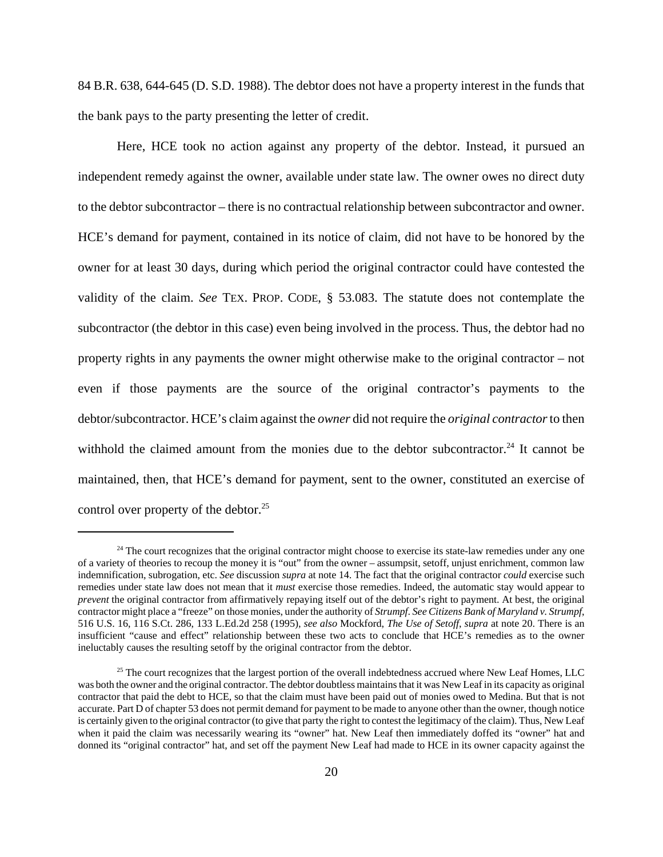84 B.R. 638, 644-645 (D. S.D. 1988). The debtor does not have a property interest in the funds that the bank pays to the party presenting the letter of credit.

Here, HCE took no action against any property of the debtor. Instead, it pursued an independent remedy against the owner, available under state law. The owner owes no direct duty to the debtor subcontractor – there is no contractual relationship between subcontractor and owner. HCE's demand for payment, contained in its notice of claim, did not have to be honored by the owner for at least 30 days, during which period the original contractor could have contested the validity of the claim. *See* TEX. PROP. CODE, § 53.083. The statute does not contemplate the subcontractor (the debtor in this case) even being involved in the process. Thus, the debtor had no property rights in any payments the owner might otherwise make to the original contractor – not even if those payments are the source of the original contractor's payments to the debtor/subcontractor. HCE's claim against the *owner* did not require the *original contractor* to then withhold the claimed amount from the monies due to the debtor subcontractor.<sup>24</sup> It cannot be maintained, then, that HCE's demand for payment, sent to the owner, constituted an exercise of control over property of the debtor. $25$ 

 $24$  The court recognizes that the original contractor might choose to exercise its state-law remedies under any one of a variety of theories to recoup the money it is "out" from the owner – assumpsit, setoff, unjust enrichment, common law indemnification, subrogation, etc. *See* discussion *supra* at note 14. The fact that the original contractor *could* exercise such remedies under state law does not mean that it *must* exercise those remedies. Indeed, the automatic stay would appear to *prevent* the original contractor from affirmatively repaying itself out of the debtor's right to payment. At best, the original contractor might place a "freeze" on those monies, under the authority of *Strumpf*. *See Citizens Bank of Maryland v. Strumpf*, 516 U.S. 16, 116 S.Ct. 286, 133 L.Ed.2d 258 (1995), *see also* Mockford, *The Use of Setoff*, *supra* at note 20. There is an insufficient "cause and effect" relationship between these two acts to conclude that HCE's remedies as to the owner ineluctably causes the resulting setoff by the original contractor from the debtor.

<sup>&</sup>lt;sup>25</sup> The court recognizes that the largest portion of the overall indebtedness accrued where New Leaf Homes, LLC was both the owner and the original contractor. The debtor doubtless maintains that it was New Leaf in its capacity as original contractor that paid the debt to HCE, so that the claim must have been paid out of monies owed to Medina. But that is not accurate. Part D of chapter 53 does not permit demand for payment to be made to anyone other than the owner, though notice is certainly given to the original contractor (to give that party the right to contest the legitimacy of the claim). Thus, New Leaf when it paid the claim was necessarily wearing its "owner" hat. New Leaf then immediately doffed its "owner" hat and donned its "original contractor" hat, and set off the payment New Leaf had made to HCE in its owner capacity against the